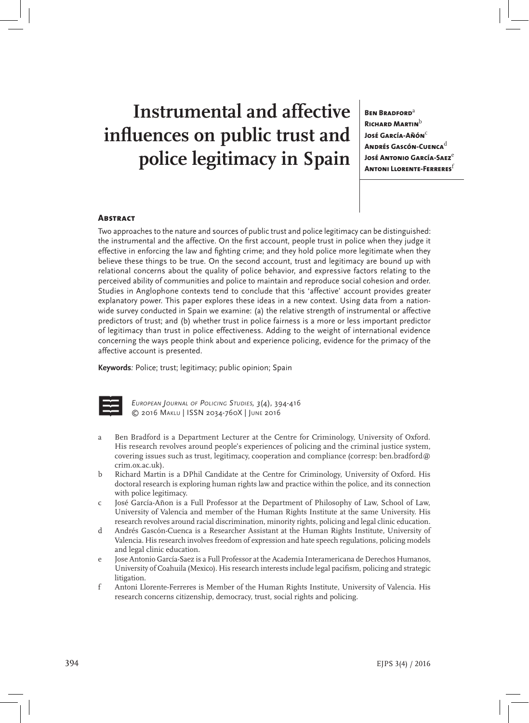# **Instrumental and affective influences on public trust and police legitimacy in Spain**

**Ben Bradford**<sup>a</sup> **Richard Martin**<sup>b</sup> **José García-Añón<sup>c</sup> Andrés Gascón-Cuenca**<sup>d</sup> **José Antonio García-Saez<sup>e</sup> Antoni Llorente-Ferreres**<sup>f</sup>

#### **ABSTRACT**

Two approaches to the nature and sources of public trust and police legitimacy can be distinguished: the instrumental and the affective. On the first account, people trust in police when they judge it effective in enforcing the law and fighting crime; and they hold police more legitimate when they believe these things to be true. On the second account, trust and legitimacy are bound up with relational concerns about the quality of police behavior, and expressive factors relating to the perceived ability of communities and police to maintain and reproduce social cohesion and order. Studies in Anglophone contexts tend to conclude that this 'affective' account provides greater explanatory power. This paper explores these ideas in a new context. Using data from a nationwide survey conducted in Spain we examine: (a) the relative strength of instrumental or affective predictors of trust; and (b) whether trust in police fairness is a more or less important predictor of legitimacy than trust in police effectiveness. Adding to the weight of international evidence concerning the ways people think about and experience policing, evidence for the primacy of the affective account is presented.

**Keywords***:* Police; trust; legitimacy; public opinion; Spain



*European Journal of Policing Studies, 3*(4)*,* 394-416 © 2016 Maklu | ISSN 2034-760X | June 2016

- a Ben Bradford is a Department Lecturer at the Centre for Criminology, University of Oxford. His research revolves around people's experiences of policing and the criminal justice system, covering issues such as trust, legitimacy, cooperation and compliance (corresp: ben.bradford@ crim.ox.ac.uk).
- b Richard Martin is a DPhil Candidate at the Centre for Criminology, University of Oxford. His doctoral research is exploring human rights law and practice within the police, and its connection with police legitimacy.
- c José García-Añon is a Full Professor at the Department of Philosophy of Law, School of Law, University of Valencia and member of the Human Rights Institute at the same University. His research revolves around racial discrimination, minority rights, policing and legal clinic education.
- d Andrés Gascón-Cuenca is a Researcher Assistant at the Human Rights Institute, University of Valencia. His research involves freedom of expression and hate speech regulations, policing models and legal clinic education.
- e Jose Antonio García-Saez is a Full Professor at the Academia Interamericana de Derechos Humanos, University of Coahuila (Mexico). His research interests include legal pacifism, policing and strategic litigation.
- f Antoni Llorente-Ferreres is Member of the Human Rights Institute, University of Valencia. His research concerns citizenship, democracy, trust, social rights and policing.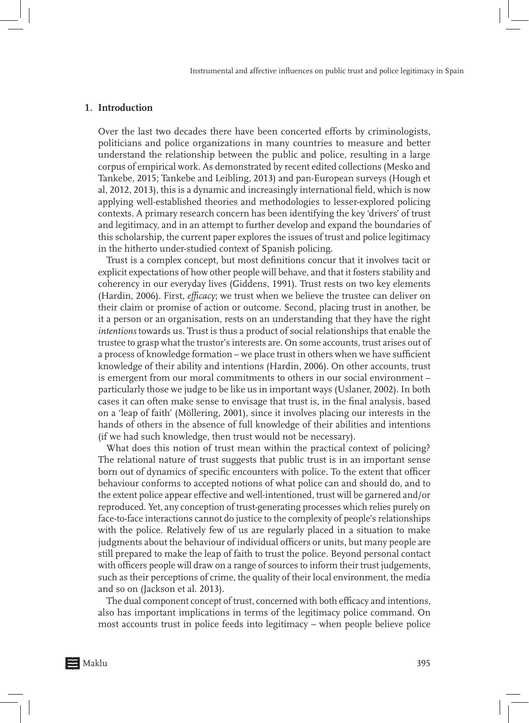#### **1. Introduction**

Over the last two decades there have been concerted efforts by criminologists, politicians and police organizations in many countries to measure and better understand the relationship between the public and police, resulting in a large corpus of empirical work. As demonstrated by recent edited collections (Mesko and Tankebe, 2015; Tankebe and Leibling, 2013) and pan-European surveys (Hough et al, 2012, 2013), this is a dynamic and increasingly international field, which is now applying well-established theories and methodologies to lesser-explored policing contexts. A primary research concern has been identifying the key 'drivers' of trust and legitimacy, and in an attempt to further develop and expand the boundaries of this scholarship, the current paper explores the issues of trust and police legitimacy in the hitherto under-studied context of Spanish policing.

Trust is a complex concept, but most definitions concur that it involves tacit or explicit expectations of how other people will behave, and that it fosters stability and coherency in our everyday lives (Giddens, 1991). Trust rests on two key elements (Hardin, 2006). First, *efficacy*; we trust when we believe the trustee can deliver on their claim or promise of action or outcome. Second, placing trust in another, be it a person or an organisation, rests on an understanding that they have the right *intentions* towards us. Trust is thus a product of social relationships that enable the trustee to grasp what the trustor's interests are. On some accounts, trust arises out of a process of knowledge formation – we place trust in others when we have sufficient knowledge of their ability and intentions (Hardin, 2006). On other accounts, trust is emergent from our moral commitments to others in our social environment – particularly those we judge to be like us in important ways (Uslaner, 2002). In both cases it can often make sense to envisage that trust is, in the final analysis, based on a 'leap of faith' (Möllering, 2001), since it involves placing our interests in the hands of others in the absence of full knowledge of their abilities and intentions (if we had such knowledge, then trust would not be necessary).

What does this notion of trust mean within the practical context of policing? The relational nature of trust suggests that public trust is in an important sense born out of dynamics of specific encounters with police. To the extent that officer behaviour conforms to accepted notions of what police can and should do, and to the extent police appear effective and well-intentioned, trust will be garnered and/or reproduced. Yet, any conception of trust-generating processes which relies purely on face-to-face interactions cannot do justice to the complexity of people's relationships with the police. Relatively few of us are regularly placed in a situation to make judgments about the behaviour of individual officers or units, but many people are still prepared to make the leap of faith to trust the police. Beyond personal contact with officers people will draw on a range of sources to inform their trust judgements, such as their perceptions of crime, the quality of their local environment, the media and so on (Jackson et al. 2013).

The dual component concept of trust, concerned with both efficacy and intentions, also has important implications in terms of the legitimacy police command. On most accounts trust in police feeds into legitimacy – when people believe police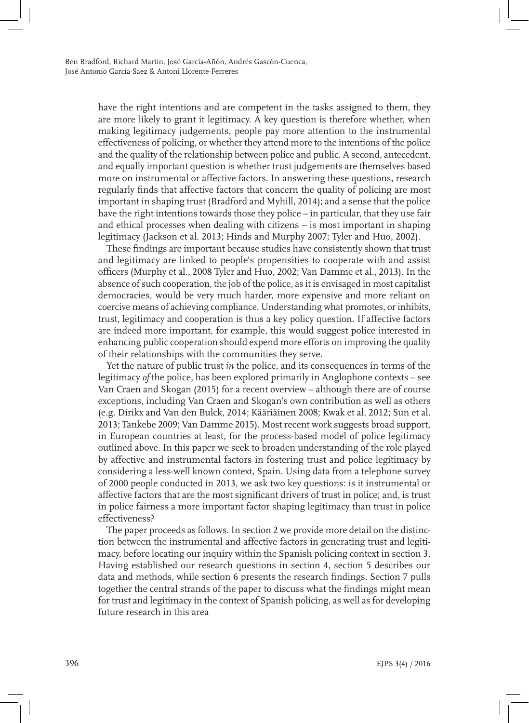have the right intentions and are competent in the tasks assigned to them, they are more likely to grant it legitimacy. A key question is therefore whether, when making legitimacy judgements, people pay more attention to the instrumental effectiveness of policing, or whether they attend more to the intentions of the police and the quality of the relationship between police and public. A second, antecedent, and equally important question is whether trust judgements are themselves based more on instrumental or affective factors. In answering these questions, research regularly finds that affective factors that concern the quality of policing are most important in shaping trust (Bradford and Myhill, 2014); and a sense that the police have the right intentions towards those they police – in particular, that they use fair and ethical processes when dealing with citizens – is most important in shaping legitimacy (Jackson et al. 2013; Hinds and Murphy 2007; Tyler and Huo, 2002).

These findings are important because studies have consistently shown that trust and legitimacy are linked to people's propensities to cooperate with and assist officers (Murphy et al., 2008 Tyler and Huo, 2002; Van Damme et al., 2013). In the absence of such cooperation, the job of the police, as it is envisaged in most capitalist democracies, would be very much harder, more expensive and more reliant on coercive means of achieving compliance. Understanding what promotes, or inhibits, trust, legitimacy and cooperation is thus a key policy question. If affective factors are indeed more important, for example, this would suggest police interested in enhancing public cooperation should expend more efforts on improving the quality of their relationships with the communities they serve.

Yet the nature of public trust *in* the police, and its consequences in terms of the legitimacy *of* the police, has been explored primarily in Anglophone contexts – see Van Craen and Skogan (2015) for a recent overview – although there are of course exceptions, including Van Craen and Skogan's own contribution as well as others (e.g. Dirikx and Van den Bulck, 2014; Kääriäinen 2008; Kwak et al. 2012; Sun et al. 2013; Tankebe 2009; Van Damme 2015). Most recent work suggests broad support, in European countries at least, for the process-based model of police legitimacy outlined above. In this paper we seek to broaden understanding of the role played by affective and instrumental factors in fostering trust and police legitimacy by considering a less-well known context, Spain. Using data from a telephone survey of 2000 people conducted in 2013, we ask two key questions: is it instrumental or affective factors that are the most significant drivers of trust in police; and, is trust in police fairness a more important factor shaping legitimacy than trust in police effectiveness?

The paper proceeds as follows. In section 2 we provide more detail on the distinction between the instrumental and affective factors in generating trust and legitimacy, before locating our inquiry within the Spanish policing context in section 3. Having established our research questions in section 4, section 5 describes our data and methods, while section 6 presents the research findings. Section 7 pulls together the central strands of the paper to discuss what the findings might mean for trust and legitimacy in the context of Spanish policing, as well as for developing future research in this area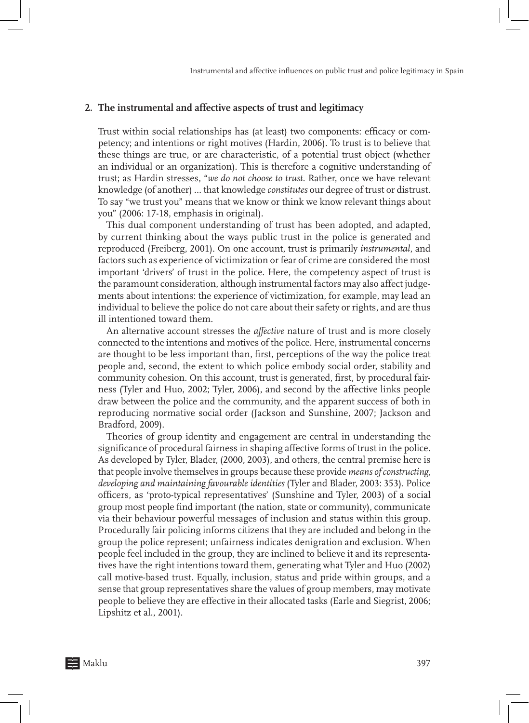#### **2. The instrumental and affective aspects of trust and legitimacy**

Trust within social relationships has (at least) two components: efficacy or competency; and intentions or right motives (Hardin, 2006). To trust is to believe that these things are true, or are characteristic, of a potential trust object (whether an individual or an organization). This is therefore a cognitive understanding of trust; as Hardin stresses, "*we do not choose to trust*. Rather, once we have relevant knowledge (of another) … that knowledge *constitutes* our degree of trust or distrust. To say "we trust you" means that we know or think we know relevant things about you" (2006: 17-18, emphasis in original).

This dual component understanding of trust has been adopted, and adapted, by current thinking about the ways public trust in the police is generated and reproduced (Freiberg, 2001). On one account, trust is primarily *instrumental*, and factors such as experience of victimization or fear of crime are considered the most important 'drivers' of trust in the police. Here, the competency aspect of trust is the paramount consideration, although instrumental factors may also affect judgements about intentions: the experience of victimization, for example, may lead an individual to believe the police do not care about their safety or rights, and are thus ill intentioned toward them.

An alternative account stresses the *affective* nature of trust and is more closely connected to the intentions and motives of the police. Here, instrumental concerns are thought to be less important than, first, perceptions of the way the police treat people and, second, the extent to which police embody social order, stability and community cohesion. On this account, trust is generated, first, by procedural fairness (Tyler and Huo, 2002; Tyler, 2006), and second by the affective links people draw between the police and the community, and the apparent success of both in reproducing normative social order (Jackson and Sunshine, 2007; Jackson and Bradford, 2009).

Theories of group identity and engagement are central in understanding the significance of procedural fairness in shaping affective forms of trust in the police. As developed by Tyler, Blader, (2000, 2003), and others, the central premise here is that people involve themselves in groups because these provide *means of constructing, developing and maintaining favourable identities* (Tyler and Blader, 2003: 353). Police officers, as 'proto-typical representatives' (Sunshine and Tyler, 2003) of a social group most people find important (the nation, state or community), communicate via their behaviour powerful messages of inclusion and status within this group. Procedurally fair policing informs citizens that they are included and belong in the group the police represent; unfairness indicates denigration and exclusion. When people feel included in the group, they are inclined to believe it and its representatives have the right intentions toward them, generating what Tyler and Huo (2002) call motive-based trust. Equally, inclusion, status and pride within groups, and a sense that group representatives share the values of group members, may motivate people to believe they are effective in their allocated tasks (Earle and Siegrist, 2006; Lipshitz et al., 2001).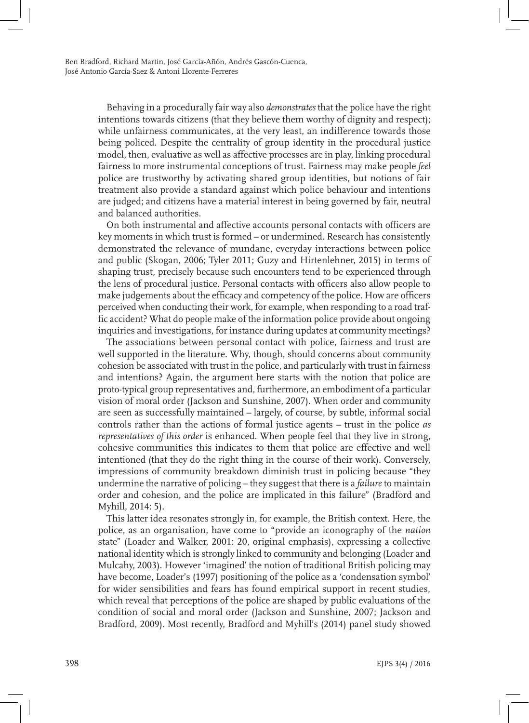Behaving in a procedurally fair way also *demonstrates* that the police have the right intentions towards citizens (that they believe them worthy of dignity and respect); while unfairness communicates, at the very least, an indifference towards those being policed. Despite the centrality of group identity in the procedural justice model, then, evaluative as well as affective processes are in play, linking procedural fairness to more instrumental conceptions of trust. Fairness may make people *feel* police are trustworthy by activating shared group identities, but notions of fair treatment also provide a standard against which police behaviour and intentions are judged; and citizens have a material interest in being governed by fair, neutral and balanced authorities.

On both instrumental and affective accounts personal contacts with officers are key moments in which trust is formed – or undermined. Research has consistently demonstrated the relevance of mundane, everyday interactions between police and public (Skogan, 2006; Tyler 2011; Guzy and Hirtenlehner, 2015) in terms of shaping trust, precisely because such encounters tend to be experienced through the lens of procedural justice. Personal contacts with officers also allow people to make judgements about the efficacy and competency of the police. How are officers perceived when conducting their work, for example, when responding to a road traffic accident? What do people make of the information police provide about ongoing inquiries and investigations, for instance during updates at community meetings?

The associations between personal contact with police, fairness and trust are well supported in the literature. Why, though, should concerns about community cohesion be associated with trust in the police, and particularly with trust in fairness and intentions? Again, the argument here starts with the notion that police are proto-typical group representatives and, furthermore, an embodiment of a particular vision of moral order (Jackson and Sunshine, 2007). When order and community are seen as successfully maintained – largely, of course, by subtle, informal social controls rather than the actions of formal justice agents – trust in the police *as representatives of this order* is enhanced. When people feel that they live in strong, cohesive communities this indicates to them that police are effective and well intentioned (that they do the right thing in the course of their work). Conversely, impressions of community breakdown diminish trust in policing because "they undermine the narrative of policing – they suggest that there is a *failure* to maintain order and cohesion, and the police are implicated in this failure" (Bradford and Myhill, 2014: 5).

This latter idea resonates strongly in, for example, the British context. Here, the police, as an organisation, have come to "provide an iconography of the *nation* state" (Loader and Walker, 2001: 20, original emphasis), expressing a collective national identity which is strongly linked to community and belonging (Loader and Mulcahy, 2003). However 'imagined' the notion of traditional British policing may have become, Loader's (1997) positioning of the police as a 'condensation symbol' for wider sensibilities and fears has found empirical support in recent studies, which reveal that perceptions of the police are shaped by public evaluations of the condition of social and moral order (Jackson and Sunshine, 2007; Jackson and Bradford, 2009). Most recently, Bradford and Myhill's (2014) panel study showed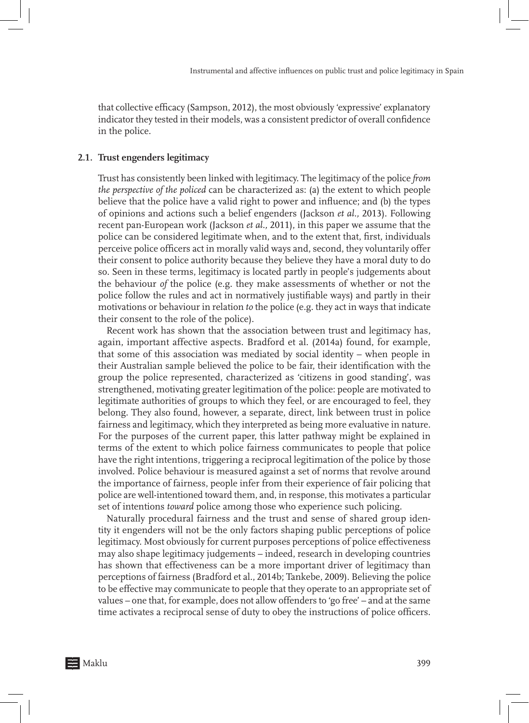that collective efficacy (Sampson, 2012), the most obviously 'expressive' explanatory indicator they tested in their models, was a consistent predictor of overall confidence in the police.

#### **2.1. Trust engenders legitimacy**

Trust has consistently been linked with legitimacy. The legitimacy of the police *from the perspective of the policed* can be characterized as: (a) the extent to which people believe that the police have a valid right to power and influence; and (b) the types of opinions and actions such a belief engenders (Jackson *et al.,* 2013). Following recent pan-European work (Jackson *et al.,* 2011), in this paper we assume that the police can be considered legitimate when, and to the extent that, first, individuals perceive police officers act in morally valid ways and, second, they voluntarily offer their consent to police authority because they believe they have a moral duty to do so. Seen in these terms, legitimacy is located partly in people's judgements about the behaviour *of* the police (e.g. they make assessments of whether or not the police follow the rules and act in normatively justifiable ways) and partly in their motivations or behaviour in relation *to* the police (e.g. they act in ways that indicate their consent to the role of the police).

Recent work has shown that the association between trust and legitimacy has, again, important affective aspects. Bradford et al. (2014a) found, for example, that some of this association was mediated by social identity – when people in their Australian sample believed the police to be fair, their identification with the group the police represented, characterized as 'citizens in good standing', was strengthened, motivating greater legitimation of the police: people are motivated to legitimate authorities of groups to which they feel, or are encouraged to feel, they belong. They also found, however, a separate, direct, link between trust in police fairness and legitimacy, which they interpreted as being more evaluative in nature. For the purposes of the current paper, this latter pathway might be explained in terms of the extent to which police fairness communicates to people that police have the right intentions, triggering a reciprocal legitimation of the police by those involved. Police behaviour is measured against a set of norms that revolve around the importance of fairness, people infer from their experience of fair policing that police are well-intentioned toward them, and, in response, this motivates a particular set of intentions *toward* police among those who experience such policing.

Naturally procedural fairness and the trust and sense of shared group identity it engenders will not be the only factors shaping public perceptions of police legitimacy. Most obviously for current purposes perceptions of police effectiveness may also shape legitimacy judgements – indeed, research in developing countries has shown that effectiveness can be a more important driver of legitimacy than perceptions of fairness (Bradford et al., 2014b; Tankebe, 2009). Believing the police to be effective may communicate to people that they operate to an appropriate set of values – one that, for example, does not allow offenders to 'go free' – and at the same time activates a reciprocal sense of duty to obey the instructions of police officers.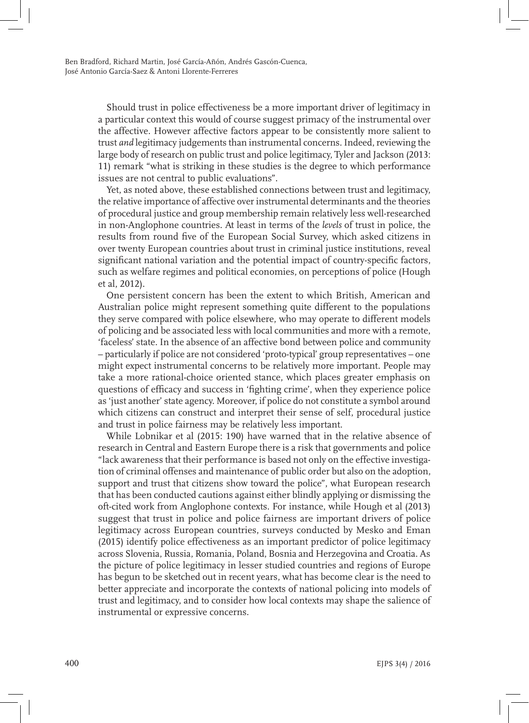Should trust in police effectiveness be a more important driver of legitimacy in a particular context this would of course suggest primacy of the instrumental over the affective. However affective factors appear to be consistently more salient to trust *and* legitimacy judgements than instrumental concerns. Indeed, reviewing the large body of research on public trust and police legitimacy, Tyler and Jackson (2013: 11) remark "what is striking in these studies is the degree to which performance issues are not central to public evaluations".

Yet, as noted above, these established connections between trust and legitimacy, the relative importance of affective over instrumental determinants and the theories of procedural justice and group membership remain relatively less well-researched in non-Anglophone countries. At least in terms of the *levels* of trust in police, the results from round five of the European Social Survey, which asked citizens in over twenty European countries about trust in criminal justice institutions, reveal significant national variation and the potential impact of country-specific factors, such as welfare regimes and political economies, on perceptions of police (Hough et al, 2012).

One persistent concern has been the extent to which British, American and Australian police might represent something quite different to the populations they serve compared with police elsewhere, who may operate to different models of policing and be associated less with local communities and more with a remote, 'faceless' state. In the absence of an affective bond between police and community – particularly if police are not considered 'proto-typical' group representatives – one might expect instrumental concerns to be relatively more important. People may take a more rational-choice oriented stance, which places greater emphasis on questions of efficacy and success in 'fighting crime', when they experience police as 'just another' state agency. Moreover, if police do not constitute a symbol around which citizens can construct and interpret their sense of self, procedural justice and trust in police fairness may be relatively less important.

While Lobnikar et al (2015: 190) have warned that in the relative absence of research in Central and Eastern Europe there is a risk that governments and police "lack awareness that their performance is based not only on the effective investigation of criminal offenses and maintenance of public order but also on the adoption, support and trust that citizens show toward the police", what European research that has been conducted cautions against either blindly applying or dismissing the oft-cited work from Anglophone contexts. For instance, while Hough et al (2013) suggest that trust in police and police fairness are important drivers of police legitimacy across European countries, surveys conducted by Mesko and Eman (2015) identify police effectiveness as an important predictor of police legitimacy across Slovenia, Russia, Romania, Poland, Bosnia and Herzegovina and Croatia. As the picture of police legitimacy in lesser studied countries and regions of Europe has begun to be sketched out in recent years, what has become clear is the need to better appreciate and incorporate the contexts of national policing into models of trust and legitimacy, and to consider how local contexts may shape the salience of instrumental or expressive concerns.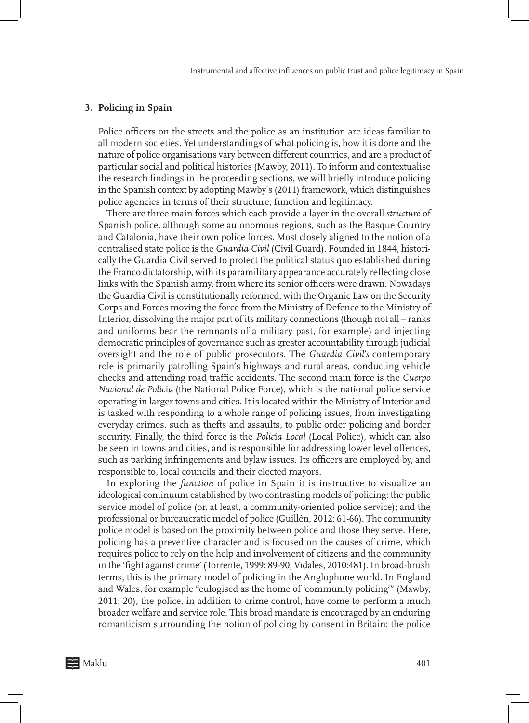### **3. Policing in Spain**

Police officers on the streets and the police as an institution are ideas familiar to all modern societies. Yet understandings of what policing is, how it is done and the nature of police organisations vary between different countries, and are a product of particular social and political histories (Mawby, 2011). To inform and contextualise the research findings in the proceeding sections, we will briefly introduce policing in the Spanish context by adopting Mawby's (2011) framework, which distinguishes police agencies in terms of their structure, function and legitimacy.

There are three main forces which each provide a layer in the overall *structure* of Spanish police, although some autonomous regions, such as the Basque Country and Catalonia, have their own police forces. Most closely aligned to the notion of a centralised state police is the *Guardia Civil* (Civil Guard). Founded in 1844, historically the Guardia Civil served to protect the political status quo established during the Franco dictatorship, with its paramilitary appearance accurately reflecting close links with the Spanish army, from where its senior officers were drawn. Nowadays the Guardia Civil is constitutionally reformed, with the Organic Law on the Security Corps and Forces moving the force from the Ministry of Defence to the Ministry of Interior, dissolving the major part of its military connections (though not all – ranks and uniforms bear the remnants of a military past, for example) and injecting democratic principles of governance such as greater accountability through judicial oversight and the role of public prosecutors. The *Guardia Civil's* contemporary role is primarily patrolling Spain's highways and rural areas, conducting vehicle checks and attending road traffic accidents. The second main force is the *Cuerpo Nacional de Polic*í*a* (the National Police Force), which is the national police service operating in larger towns and cities. It is located within the Ministry of Interior and is tasked with responding to a whole range of policing issues, from investigating everyday crimes, such as thefts and assaults, to public order policing and border security. Finally, the third force is the *Polic*í*a Local* (Local Police), which can also be seen in towns and cities, and is responsible for addressing lower level offences, such as parking infringements and bylaw issues. Its officers are employed by, and responsible to, local councils and their elected mayors.

In exploring the *function* of police in Spain it is instructive to visualize an ideological continuum established by two contrasting models of policing: the public service model of police (or, at least, a community-oriented police service); and the professional or bureaucratic model of police (Guillén, 2012: 61-66). The community police model is based on the proximity between police and those they serve. Here, policing has a preventive character and is focused on the causes of crime, which requires police to rely on the help and involvement of citizens and the community in the 'fight against crime' (Torrente, 1999: 89-90; Vidales, 2010:481). In broad-brush terms, this is the primary model of policing in the Anglophone world. In England and Wales, for example "eulogised as the home of 'community policing'" (Mawby, 2011: 20), the police, in addition to crime control, have come to perform a much broader welfare and service role. This broad mandate is encouraged by an enduring romanticism surrounding the notion of policing by consent in Britain: the police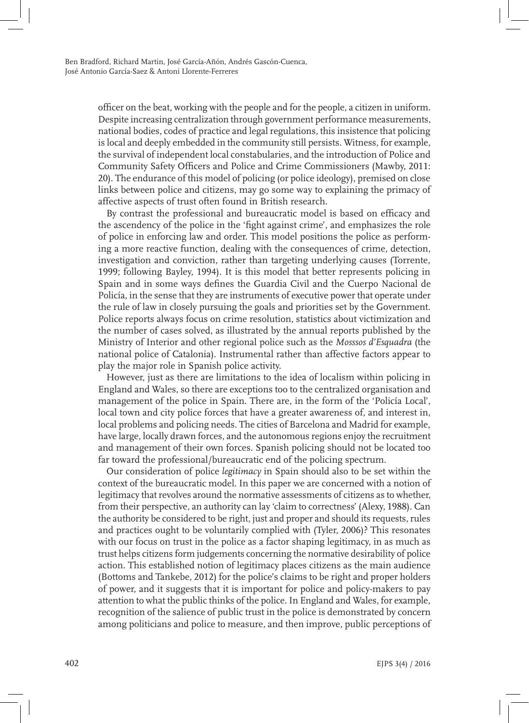officer on the beat, working with the people and for the people, a citizen in uniform. Despite increasing centralization through government performance measurements, national bodies, codes of practice and legal regulations, this insistence that policing is local and deeply embedded in the community still persists. Witness, for example, the survival of independent local constabularies, and the introduction of Police and Community Safety Officers and Police and Crime Commissioners (Mawby, 2011: 20). The endurance of this model of policing (or police ideology), premised on close links between police and citizens, may go some way to explaining the primacy of affective aspects of trust often found in British research.

By contrast the professional and bureaucratic model is based on efficacy and the ascendency of the police in the 'fight against crime', and emphasizes the role of police in enforcing law and order. This model positions the police as performing a more reactive function, dealing with the consequences of crime, detection, investigation and conviction, rather than targeting underlying causes (Torrente, 1999; following Bayley, 1994). It is this model that better represents policing in Spain and in some ways defines the Guardia Civil and the Cuerpo Nacional de Policía, in the sense that they are instruments of executive power that operate under the rule of law in closely pursuing the goals and priorities set by the Government. Police reports always focus on crime resolution, statistics about victimization and the number of cases solved, as illustrated by the annual reports published by the Ministry of Interior and other regional police such as the *Mosssos d'Esquadra* (the national police of Catalonia). Instrumental rather than affective factors appear to play the major role in Spanish police activity.

However, just as there are limitations to the idea of localism within policing in England and Wales, so there are exceptions too to the centralized organisation and management of the police in Spain. There are, in the form of the 'Policía Local', local town and city police forces that have a greater awareness of, and interest in, local problems and policing needs. The cities of Barcelona and Madrid for example, have large, locally drawn forces, and the autonomous regions enjoy the recruitment and management of their own forces. Spanish policing should not be located too far toward the professional/bureaucratic end of the policing spectrum.

Our consideration of police *legitimacy* in Spain should also to be set within the context of the bureaucratic model. In this paper we are concerned with a notion of legitimacy that revolves around the normative assessments of citizens as to whether, from their perspective, an authority can lay 'claim to correctness' (Alexy, 1988). Can the authority be considered to be right, just and proper and should its requests, rules and practices ought to be voluntarily complied with (Tyler, 2006)? This resonates with our focus on trust in the police as a factor shaping legitimacy, in as much as trust helps citizens form judgements concerning the normative desirability of police action. This established notion of legitimacy places citizens as the main audience (Bottoms and Tankebe, 2012) for the police's claims to be right and proper holders of power, and it suggests that it is important for police and policy-makers to pay attention to what the public thinks of the police. In England and Wales, for example, recognition of the salience of public trust in the police is demonstrated by concern among politicians and police to measure, and then improve, public perceptions of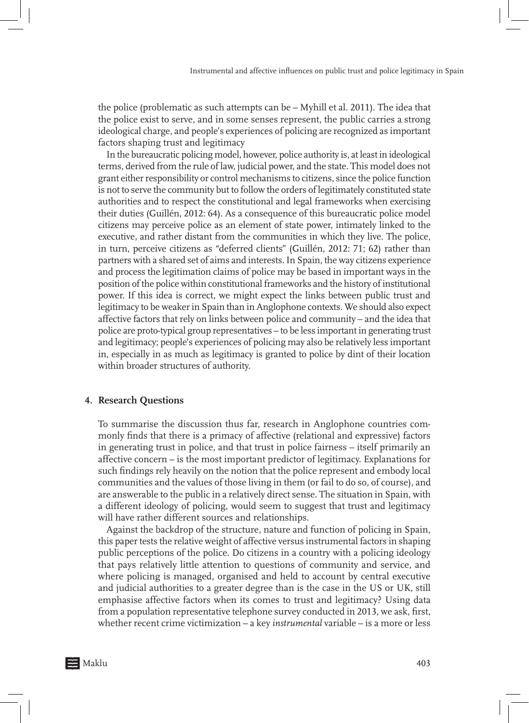the police (problematic as such attempts can be – Myhill et al. 2011). The idea that the police exist to serve, and in some senses represent, the public carries a strong ideological charge, and people's experiences of policing are recognized as important factors shaping trust and legitimacy

In the bureaucratic policing model, however, police authority is, at least in ideological terms, derived from the rule of law, judicial power, and the state. This model does not grant either responsibility or control mechanisms to citizens, since the police function is not to serve the community but to follow the orders of legitimately constituted state authorities and to respect the constitutional and legal frameworks when exercising their duties (Guillén, 2012: 64). As a consequence of this bureaucratic police model citizens may perceive police as an element of state power, intimately linked to the executive, and rather distant from the communities in which they live. The police, in turn, perceive citizens as "deferred clients" (Guillén, 2012: 71; 62) rather than partners with a shared set of aims and interests. In Spain, the way citizens experience and process the legitimation claims of police may be based in important ways in the position of the police within constitutional frameworks and the history of institutional power. If this idea is correct, we might expect the links between public trust and legitimacy to be weaker in Spain than in Anglophone contexts. We should also expect affective factors that rely on links between police and community – and the idea that police are proto-typical group representatives – to be less important in generating trust and legitimacy; people's experiences of policing may also be relatively less important in, especially in as much as legitimacy is granted to police by dint of their location within broader structures of authority.

#### **4. Research Questions**

To summarise the discussion thus far, research in Anglophone countries commonly finds that there is a primacy of affective (relational and expressive) factors in generating trust in police, and that trust in police fairness – itself primarily an affective concern – is the most important predictor of legitimacy. Explanations for such findings rely heavily on the notion that the police represent and embody local communities and the values of those living in them (or fail to do so, of course), and are answerable to the public in a relatively direct sense. The situation in Spain, with a different ideology of policing, would seem to suggest that trust and legitimacy will have rather different sources and relationships.

Against the backdrop of the structure, nature and function of policing in Spain, this paper tests the relative weight of affective versus instrumental factors in shaping public perceptions of the police. Do citizens in a country with a policing ideology that pays relatively little attention to questions of community and service, and where policing is managed, organised and held to account by central executive and judicial authorities to a greater degree than is the case in the US or UK, still emphasise affective factors when its comes to trust and legitimacy? Using data from a population representative telephone survey conducted in 2013, we ask, first, whether recent crime victimization – a key *instrumental* variable – is a more or less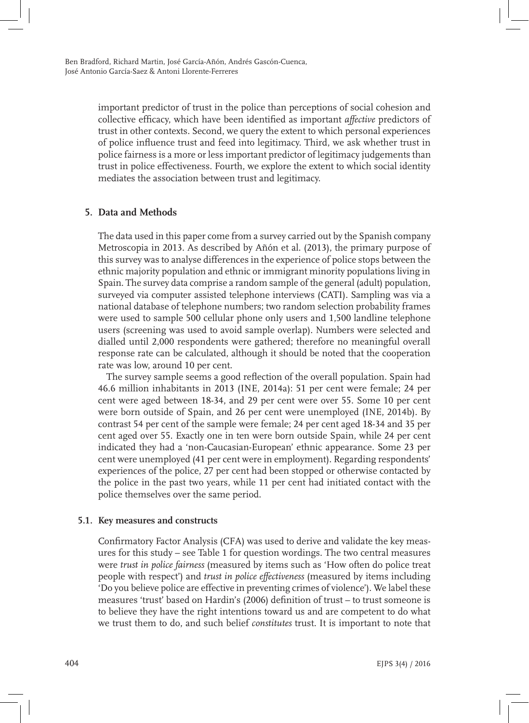important predictor of trust in the police than perceptions of social cohesion and collective efficacy, which have been identified as important *affective* predictors of trust in other contexts. Second, we query the extent to which personal experiences of police influence trust and feed into legitimacy. Third, we ask whether trust in police fairness is a more or less important predictor of legitimacy judgements than trust in police effectiveness. Fourth, we explore the extent to which social identity mediates the association between trust and legitimacy.

# **5. Data and Methods**

The data used in this paper come from a survey carried out by the Spanish company Metroscopia in 2013. As described by Añón et al. (2013), the primary purpose of this survey was to analyse differences in the experience of police stops between the ethnic majority population and ethnic or immigrant minority populations living in Spain. The survey data comprise a random sample of the general (adult) population, surveyed via computer assisted telephone interviews (CATI). Sampling was via a national database of telephone numbers; two random selection probability frames were used to sample 500 cellular phone only users and 1,500 landline telephone users (screening was used to avoid sample overlap). Numbers were selected and dialled until 2,000 respondents were gathered; therefore no meaningful overall response rate can be calculated, although it should be noted that the cooperation rate was low, around 10 per cent.

The survey sample seems a good reflection of the overall population. Spain had 46.6 million inhabitants in 2013 (INE, 2014a): 51 per cent were female; 24 per cent were aged between 18-34, and 29 per cent were over 55. Some 10 per cent were born outside of Spain, and 26 per cent were unemployed (INE, 2014b). By contrast 54 per cent of the sample were female; 24 per cent aged 18-34 and 35 per cent aged over 55. Exactly one in ten were born outside Spain, while 24 per cent indicated they had a 'non-Caucasian-European' ethnic appearance. Some 23 per cent were unemployed (41 per cent were in employment). Regarding respondents' experiences of the police, 27 per cent had been stopped or otherwise contacted by the police in the past two years, while 11 per cent had initiated contact with the police themselves over the same period.

# **5.1. Key measures and constructs**

Confirmatory Factor Analysis (CFA) was used to derive and validate the key measures for this study – see Table 1 for question wordings. The two central measures were *trust in police fairness* (measured by items such as 'How often do police treat people with respect') and *trust in police effectiveness* (measured by items including 'Do you believe police are effective in preventing crimes of violence'). We label these measures 'trust' based on Hardin's (2006) definition of trust – to trust someone is to believe they have the right intentions toward us and are competent to do what we trust them to do, and such belief *constitutes* trust. It is important to note that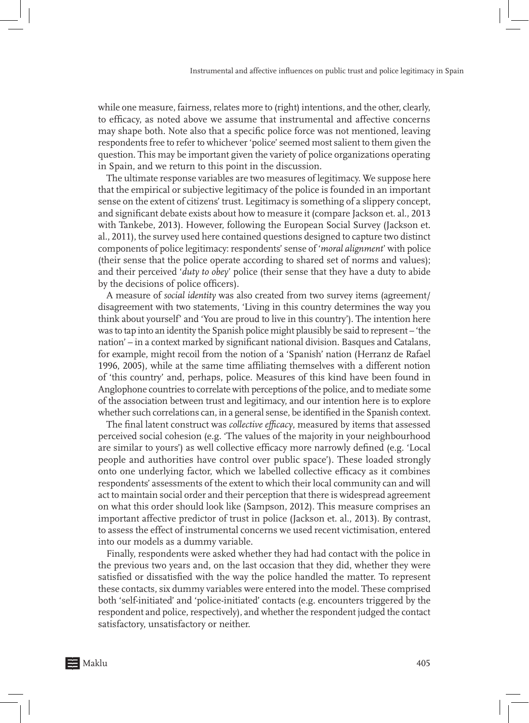while one measure, fairness, relates more to (right) intentions, and the other, clearly, to efficacy, as noted above we assume that instrumental and affective concerns may shape both. Note also that a specific police force was not mentioned, leaving respondents free to refer to whichever 'police' seemed most salient to them given the question. This may be important given the variety of police organizations operating in Spain, and we return to this point in the discussion.

The ultimate response variables are two measures of legitimacy. We suppose here that the empirical or subjective legitimacy of the police is founded in an important sense on the extent of citizens' trust. Legitimacy is something of a slippery concept, and significant debate exists about how to measure it (compare Jackson et. al., 2013 with Tankebe, 2013). However, following the European Social Survey (Jackson et. al., 2011), the survey used here contained questions designed to capture two distinct components of police legitimacy: respondents' sense of '*moral alignment*' with police (their sense that the police operate according to shared set of norms and values); and their perceived '*duty to obey*' police (their sense that they have a duty to abide by the decisions of police officers).

A measure of *social identity* was also created from two survey items (agreement/ disagreement with two statements, 'Living in this country determines the way you think about yourself' and 'You are proud to live in this country'). The intention here was to tap into an identity the Spanish police might plausibly be said to represent – 'the nation' – in a context marked by significant national division. Basques and Catalans, for example, might recoil from the notion of a 'Spanish' nation (Herranz de Rafael 1996, 2005), while at the same time affiliating themselves with a different notion of 'this country' and, perhaps, police. Measures of this kind have been found in Anglophone countries to correlate with perceptions of the police, and to mediate some of the association between trust and legitimacy, and our intention here is to explore whether such correlations can, in a general sense, be identified in the Spanish context.

The final latent construct was *collective efficacy*, measured by items that assessed perceived social cohesion (e.g. 'The values of the majority in your neighbourhood are similar to yours') as well collective efficacy more narrowly defined (e.g. 'Local people and authorities have control over public space'). These loaded strongly onto one underlying factor, which we labelled collective efficacy as it combines respondents' assessments of the extent to which their local community can and will act to maintain social order and their perception that there is widespread agreement on what this order should look like (Sampson, 2012). This measure comprises an important affective predictor of trust in police (Jackson et. al., 2013). By contrast, to assess the effect of instrumental concerns we used recent victimisation, entered into our models as a dummy variable.

Finally, respondents were asked whether they had had contact with the police in the previous two years and, on the last occasion that they did, whether they were satisfied or dissatisfied with the way the police handled the matter. To represent these contacts, six dummy variables were entered into the model. These comprised both 'self-initiated' and 'police-initiated' contacts (e.g. encounters triggered by the respondent and police, respectively), and whether the respondent judged the contact satisfactory, unsatisfactory or neither.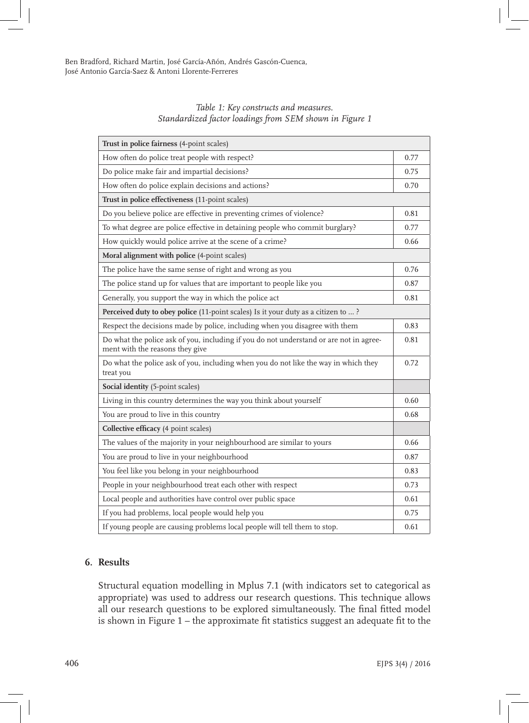| Table 1: Key constructs and measures.                   |  |
|---------------------------------------------------------|--|
| Standardized factor loadings from SEM shown in Figure 1 |  |

| Trust in police fairness (4-point scales)                                                                                 |            |  |
|---------------------------------------------------------------------------------------------------------------------------|------------|--|
| How often do police treat people with respect?                                                                            | 0.77       |  |
| Do police make fair and impartial decisions?                                                                              | 0.75       |  |
| How often do police explain decisions and actions?                                                                        | 0.70       |  |
| Trust in police effectiveness (11-point scales)                                                                           |            |  |
| Do you believe police are effective in preventing crimes of violence?                                                     | 0.81       |  |
| To what degree are police effective in detaining people who commit burglary?                                              | 0.77       |  |
| How quickly would police arrive at the scene of a crime?                                                                  | 0.66       |  |
| Moral alignment with police (4-point scales)                                                                              |            |  |
| The police have the same sense of right and wrong as you                                                                  | 0.76       |  |
| The police stand up for values that are important to people like you                                                      | 0.87       |  |
| Generally, you support the way in which the police act                                                                    | $\rm 0.81$ |  |
| Perceived duty to obey police (11-point scales) Is it your duty as a citizen to ?                                         |            |  |
| Respect the decisions made by police, including when you disagree with them                                               | 0.83       |  |
| Do what the police ask of you, including if you do not understand or are not in agree-<br>ment with the reasons they give | 0.81       |  |
| Do what the police ask of you, including when you do not like the way in which they<br>treat you                          | 0.72       |  |
| Social identity (5-point scales)                                                                                          |            |  |
| Living in this country determines the way you think about yourself                                                        | 0.60       |  |
| You are proud to live in this country                                                                                     | 0.68       |  |
| Collective efficacy (4 point scales)                                                                                      |            |  |
| The values of the majority in your neighbourhood are similar to yours                                                     | 0.66       |  |
| You are proud to live in your neighbourhood                                                                               | 0.87       |  |
| You feel like you belong in your neighbourhood                                                                            | 0.83       |  |
| People in your neighbourhood treat each other with respect                                                                | 0.73       |  |
| Local people and authorities have control over public space                                                               | 0.61       |  |
| If you had problems, local people would help you                                                                          | 0.75       |  |
| If young people are causing problems local people will tell them to stop.                                                 | 0.61       |  |

# **6. Results**

Structural equation modelling in Mplus 7.1 (with indicators set to categorical as appropriate) was used to address our research questions. This technique allows all our research questions to be explored simultaneously. The final fitted model is shown in Figure 1 – the approximate fit statistics suggest an adequate fit to the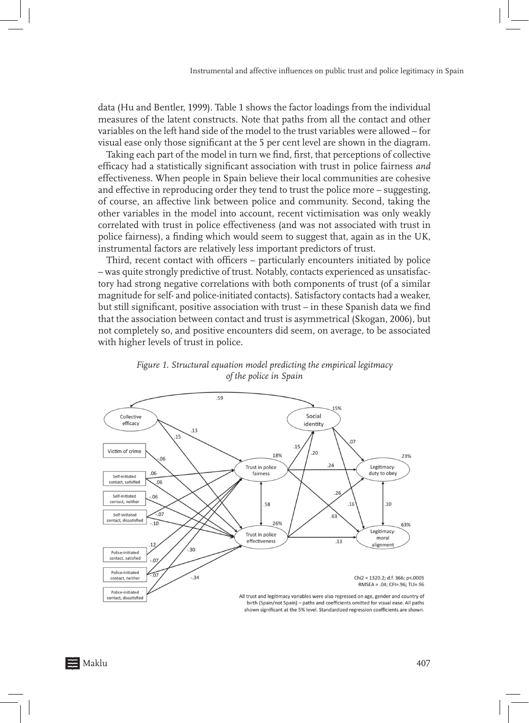data (Hu and Bentler, 1999). Table 1 shows the factor loadings from the individual measures of the latent constructs. Note that paths from all the contact and other variables on the left hand side of the model to the trust variables were allowed – for visual ease only those significant at the 5 per cent level are shown in the diagram.

Taking each part of the model in turn we find, first, that perceptions of collective efficacy had a statistically significant association with trust in police fairness *and* effectiveness. When people in Spain believe their local communities are cohesive and effective in reproducing order they tend to trust the police more – suggesting, of course, an affective link between police and community. Second, taking the other variables in the model into account, recent victimisation was only weakly correlated with trust in police effectiveness (and was not associated with trust in police fairness), a finding which would seem to suggest that, again as in the UK, instrumental factors are relatively less important predictors of trust.

Third, recent contact with officers – particularly encounters initiated by police – was quite strongly predictive of trust. Notably, contacts experienced as unsatisfactory had strong negative correlations with both components of trust (of a similar magnitude for self- and police-initiated contacts). Satisfactory contacts had a weaker, but still significant, positive association with trust – in these Spanish data we find that the association between contact and trust is asymmetrical (Skogan, 2006), but not completely so, and positive encounters did seem, on average, to be associated with higher levels of trust in police.



*Figure 1. Structural equation model predicting the empirical legitmacy of the police in Spain*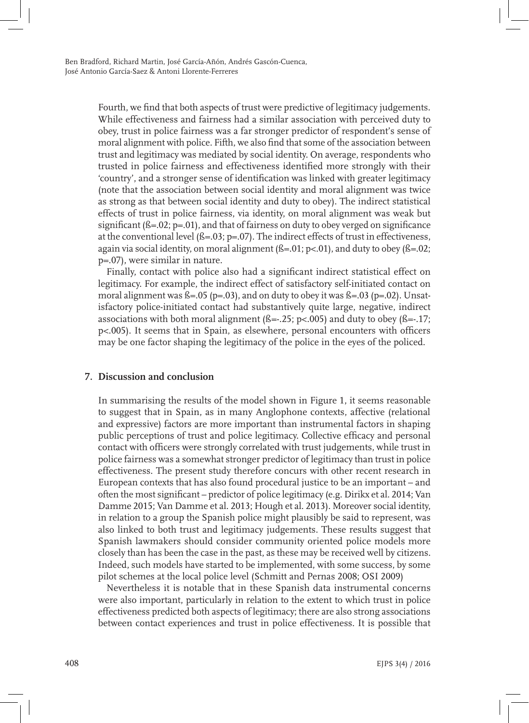Fourth, we find that both aspects of trust were predictive of legitimacy judgements. While effectiveness and fairness had a similar association with perceived duty to obey, trust in police fairness was a far stronger predictor of respondent's sense of moral alignment with police. Fifth, we also find that some of the association between trust and legitimacy was mediated by social identity. On average, respondents who trusted in police fairness and effectiveness identified more strongly with their 'country', and a stronger sense of identification was linked with greater legitimacy (note that the association between social identity and moral alignment was twice as strong as that between social identity and duty to obey). The indirect statistical effects of trust in police fairness, via identity, on moral alignment was weak but significant  $(8=.02; p=.01)$ , and that of fairness on duty to obey verged on significance at the conventional level (ß=.03; p=.07). The indirect effects of trust in effectiveness, again via social identity, on moral alignment ( $\beta$ =.01; p<.01), and duty to obey ( $\beta$ =.02; p=.07), were similar in nature.

Finally, contact with police also had a significant indirect statistical effect on legitimacy. For example, the indirect effect of satisfactory self-initiated contact on moral alignment was  $\beta = .05$  (p=.03), and on duty to obey it was  $\beta = .03$  (p=.02). Unsatisfactory police-initiated contact had substantively quite large, negative, indirect associations with both moral alignment  $(S=-.25; p<.005)$  and duty to obey  $(S=-.17; p<.005)$ p<.005). It seems that in Spain, as elsewhere, personal encounters with officers may be one factor shaping the legitimacy of the police in the eyes of the policed.

# **7. Discussion and conclusion**

In summarising the results of the model shown in Figure 1, it seems reasonable to suggest that in Spain, as in many Anglophone contexts, affective (relational and expressive) factors are more important than instrumental factors in shaping public perceptions of trust and police legitimacy. Collective efficacy and personal contact with officers were strongly correlated with trust judgements, while trust in police fairness was a somewhat stronger predictor of legitimacy than trust in police effectiveness. The present study therefore concurs with other recent research in European contexts that has also found procedural justice to be an important – and often the most significant – predictor of police legitimacy (e.g. Dirikx et al. 2014; Van Damme 2015; Van Damme et al. 2013; Hough et al. 2013). Moreover social identity, in relation to a group the Spanish police might plausibly be said to represent, was also linked to both trust and legitimacy judgements. These results suggest that Spanish lawmakers should consider community oriented police models more closely than has been the case in the past, as these may be received well by citizens. Indeed, such models have started to be implemented, with some success, by some pilot schemes at the local police level (Schmitt and Pernas 2008; OSI 2009)

Nevertheless it is notable that in these Spanish data instrumental concerns were also important, particularly in relation to the extent to which trust in police effectiveness predicted both aspects of legitimacy; there are also strong associations between contact experiences and trust in police effectiveness. It is possible that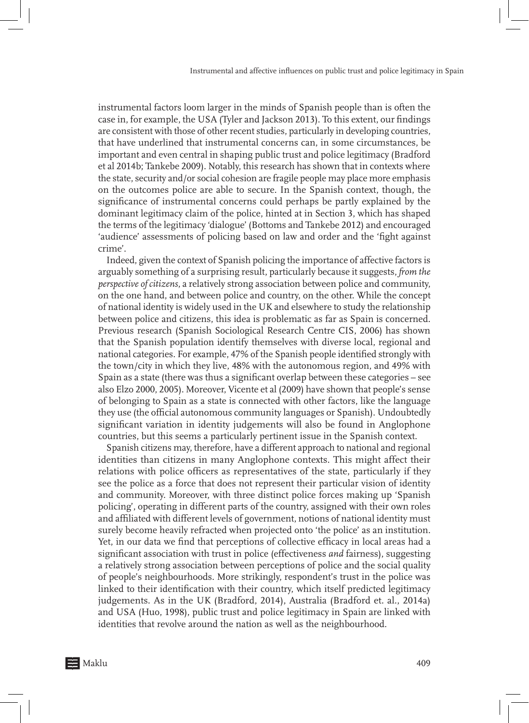instrumental factors loom larger in the minds of Spanish people than is often the case in, for example, the USA (Tyler and Jackson 2013). To this extent, our findings are consistent with those of other recent studies, particularly in developing countries, that have underlined that instrumental concerns can, in some circumstances, be important and even central in shaping public trust and police legitimacy (Bradford et al 2014b; Tankebe 2009). Notably, this research has shown that in contexts where the state, security and/or social cohesion are fragile people may place more emphasis on the outcomes police are able to secure. In the Spanish context, though, the significance of instrumental concerns could perhaps be partly explained by the dominant legitimacy claim of the police, hinted at in Section 3, which has shaped the terms of the legitimacy 'dialogue' (Bottoms and Tankebe 2012) and encouraged 'audience' assessments of policing based on law and order and the 'fight against crime'.

Indeed, given the context of Spanish policing the importance of affective factors is arguably something of a surprising result, particularly because it suggests, *from the perspective of citizens*, a relatively strong association between police and community, on the one hand, and between police and country, on the other. While the concept of national identity is widely used in the UK and elsewhere to study the relationship between police and citizens, this idea is problematic as far as Spain is concerned. Previous research (Spanish Sociological Research Centre CIS, 2006) has shown that the Spanish population identify themselves with diverse local, regional and national categories. For example, 47% of the Spanish people identified strongly with the town/city in which they live, 48% with the autonomous region, and 49% with Spain as a state (there was thus a significant overlap between these categories – see also Elzo 2000, 2005). Moreover, Vicente et al (2009) have shown that people's sense of belonging to Spain as a state is connected with other factors, like the language they use (the official autonomous community languages or Spanish). Undoubtedly significant variation in identity judgements will also be found in Anglophone countries, but this seems a particularly pertinent issue in the Spanish context.

Spanish citizens may, therefore, have a different approach to national and regional identities than citizens in many Anglophone contexts. This might affect their relations with police officers as representatives of the state, particularly if they see the police as a force that does not represent their particular vision of identity and community. Moreover, with three distinct police forces making up 'Spanish policing', operating in different parts of the country, assigned with their own roles and affiliated with different levels of government, notions of national identity must surely become heavily refracted when projected onto 'the police' as an institution. Yet, in our data we find that perceptions of collective efficacy in local areas had a significant association with trust in police (effectiveness *and* fairness), suggesting a relatively strong association between perceptions of police and the social quality of people's neighbourhoods. More strikingly, respondent's trust in the police was linked to their identification with their country, which itself predicted legitimacy judgements. As in the UK (Bradford, 2014), Australia (Bradford et. al., 2014a) and USA (Huo, 1998), public trust and police legitimacy in Spain are linked with identities that revolve around the nation as well as the neighbourhood.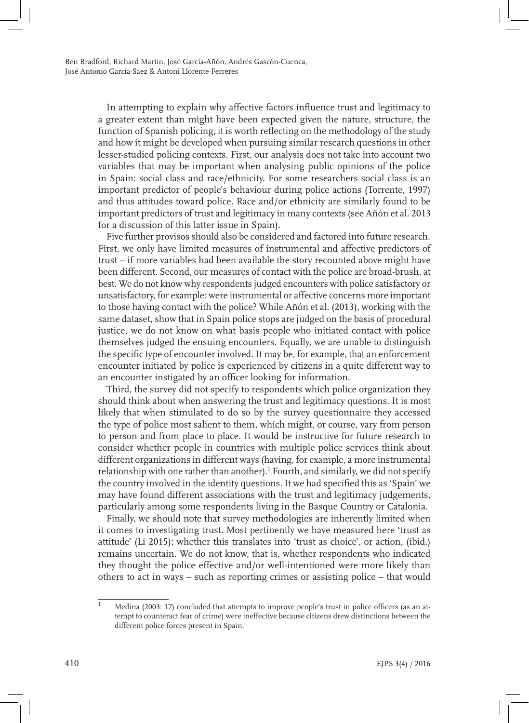In attempting to explain why affective factors influence trust and legitimacy to a greater extent than might have been expected given the nature, structure, the function of Spanish policing, it is worth reflecting on the methodology of the study and how it might be developed when pursuing similar research questions in other lesser-studied policing contexts. First, our analysis does not take into account two variables that may be important when analysing public opinions of the police in Spain: social class and race/ethnicity. For some researchers social class is an important predictor of people's behaviour during police actions (Torrente, 1997) and thus attitudes toward police. Race and/or ethnicity are similarly found to be important predictors of trust and legitimacy in many contexts (see Añón et al. 2013 for a discussion of this latter issue in Spain).

Five further provisos should also be considered and factored into future research. First, we only have limited measures of instrumental and affective predictors of trust – if more variables had been available the story recounted above might have been different. Second, our measures of contact with the police are broad-brush, at best. We do not know why respondents judged encounters with police satisfactory or unsatisfactory, for example: were instrumental or affective concerns more important to those having contact with the police? While Añón et al. (2013), working with the same dataset, show that in Spain police stops are judged on the basis of procedural justice, we do not know on what basis people who initiated contact with police themselves judged the ensuing encounters. Equally, we are unable to distinguish the specific type of encounter involved. It may be, for example, that an enforcement encounter initiated by police is experienced by citizens in a quite different way to an encounter instigated by an officer looking for information.

Third, the survey did not specify to respondents which police organization they should think about when answering the trust and legitimacy questions. It is most likely that when stimulated to do so by the survey questionnaire they accessed the type of police most salient to them, which might, or course, vary from person to person and from place to place. It would be instructive for future research to consider whether people in countries with multiple police services think about different organizations in different ways (having, for example, a more instrumental relationship with one rather than another).<sup>1</sup> Fourth, and similarly, we did not specify the country involved in the identity questions. It we had specified this as 'Spain' we may have found different associations with the trust and legitimacy judgements, particularly among some respondents living in the Basque Country or Catalonia.

Finally, we should note that survey methodologies are inherently limited when it comes to investigating trust. Most pertinently we have measured here 'trust as attitude' (Li 2015); whether this translates into 'trust as choice', or action, (ibid.) remains uncertain. We do not know, that is, whether respondents who indicated they thought the police effective and/or well-intentioned were more likely than others to act in ways – such as reporting crimes or assisting police – that would

<sup>1</sup> Medina (2003: 17) concluded that attempts to improve people's trust in police officers (as an attempt to counteract fear of crime) were ineffective because citizens drew distinctions between the different police forces present in Spain.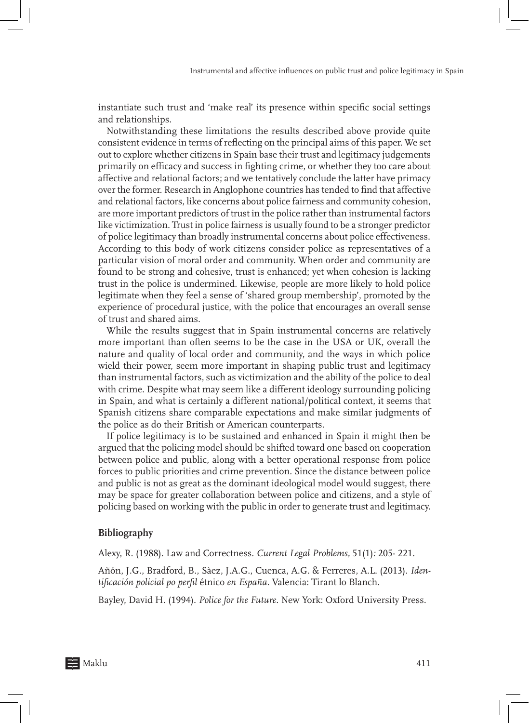instantiate such trust and 'make real' its presence within specific social settings and relationships.

Notwithstanding these limitations the results described above provide quite consistent evidence in terms of reflecting on the principal aims of this paper. We set out to explore whether citizens in Spain base their trust and legitimacy judgements primarily on efficacy and success in fighting crime, or whether they too care about affective and relational factors; and we tentatively conclude the latter have primacy over the former. Research in Anglophone countries has tended to find that affective and relational factors, like concerns about police fairness and community cohesion, are more important predictors of trust in the police rather than instrumental factors like victimization. Trust in police fairness is usually found to be a stronger predictor of police legitimacy than broadly instrumental concerns about police effectiveness. According to this body of work citizens consider police as representatives of a particular vision of moral order and community. When order and community are found to be strong and cohesive, trust is enhanced; yet when cohesion is lacking trust in the police is undermined. Likewise, people are more likely to hold police legitimate when they feel a sense of 'shared group membership', promoted by the experience of procedural justice, with the police that encourages an overall sense of trust and shared aims.

While the results suggest that in Spain instrumental concerns are relatively more important than often seems to be the case in the USA or UK, overall the nature and quality of local order and community, and the ways in which police wield their power, seem more important in shaping public trust and legitimacy than instrumental factors, such as victimization and the ability of the police to deal with crime. Despite what may seem like a different ideology surrounding policing in Spain, and what is certainly a different national/political context, it seems that Spanish citizens share comparable expectations and make similar judgments of the police as do their British or American counterparts.

If police legitimacy is to be sustained and enhanced in Spain it might then be argued that the policing model should be shifted toward one based on cooperation between police and public, along with a better operational response from police forces to public priorities and crime prevention. Since the distance between police and public is not as great as the dominant ideological model would suggest, there may be space for greater collaboration between police and citizens, and a style of policing based on working with the public in order to generate trust and legitimacy.

## **Bibliography**

Alexy, R. (1988). Law and Correctness. *Current Legal Problems,* 51(1)*:* 205- 221.

Añón, J.G., Bradford, B., Sàez, J.A.G., Cuenca, A.G. & Ferreres, A.L. (2013). *Identificación policial po perfil* étnico *en España*. Valencia: Tirant lo Blanch.

Bayley, David H. (1994). *Police for the Future*. New York: Oxford University Press.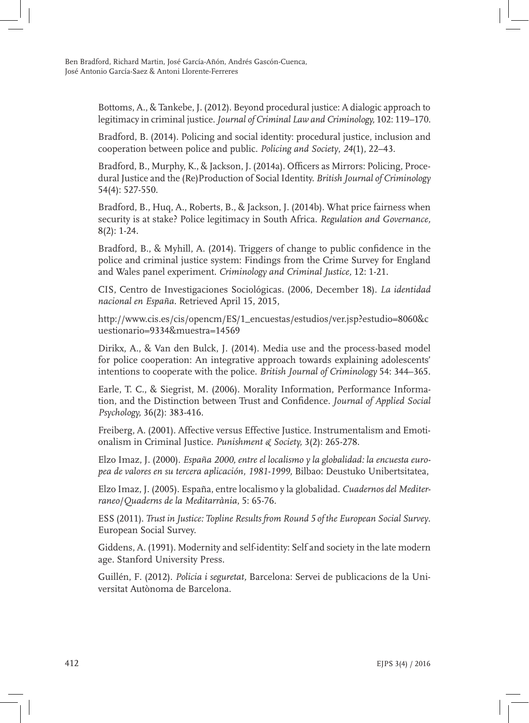Bottoms, A., & Tankebe, J. (2012). Beyond procedural justice: A dialogic approach to legitimacy in criminal justice. *Journal of Criminal Law and Criminology,* 102: 119–170.

Bradford, B. (2014). Policing and social identity: procedural justice, inclusion and cooperation between police and public. *Policing and Society*, *24*(1), 22–43.

Bradford, B., Murphy, K., & Jackson, J. (2014a). Officers as Mirrors: Policing, Procedural Justice and the (Re)Production of Social Identity. *British Journal of Criminology* 54(4): 527-550.

Bradford, B., Huq, A., Roberts, B., & Jackson, J. (2014b). What price fairness when security is at stake? Police legitimacy in South Africa. *Regulation and Governance,*  8(2): 1-24.

Bradford, B., & Myhill, A. (2014). Triggers of change to public confidence in the police and criminal justice system: Findings from the Crime Survey for England and Wales panel experiment. *Criminology and Criminal Justice,* 12: 1-21.

CIS, Centro de Investigaciones Sociológicas. (2006, December 18). *La identidad nacional en España.* Retrieved April 15, 2015,

http://www.cis.es/cis/opencm/ES/1\_encuestas/estudios/ver.jsp?estudio=8060&c uestionario=9334&muestra=14569

Dirikx, A., & Van den Bulck, J. (2014). Media use and the process-based model for police cooperation: An integrative approach towards explaining adolescents' intentions to cooperate with the police. *British Journal of Criminology* 54: 344–365.

Earle, T. C., & Siegrist, M. (2006). Morality Information, Performance Information, and the Distinction between Trust and Confidence. *Journal of Applied Social Psychology,* 36(2): 383-416.

Freiberg, A. (2001). Affective versus Effective Justice. Instrumentalism and Emotionalism in Criminal Justice. *Punishment & Society,* 3(2): 265-278.

Elzo Imaz, J. (2000). *España 2000, entre el localismo y la globalidad: la encuesta europea de valores en su tercera aplicación, 1981-1999,* Bilbao: Deustuko Unibertsitatea,

Elzo Imaz, J. (2005). España, entre localismo y la globalidad. *Cuadernos del Mediterraneo*/*Quaderns de la Meditarrània*, 5: 65-76.

ESS (2011). *Trust in Justice: Topline Results from Round 5 of the European Social Survey*. European Social Survey.

Giddens, A. (1991). Modernity and self-identity: Self and society in the late modern age. Stanford University Press.

Guillén, F. (2012). *Policia i seguretat,* Barcelona: Servei de publicacions de la Universitat Autònoma de Barcelona.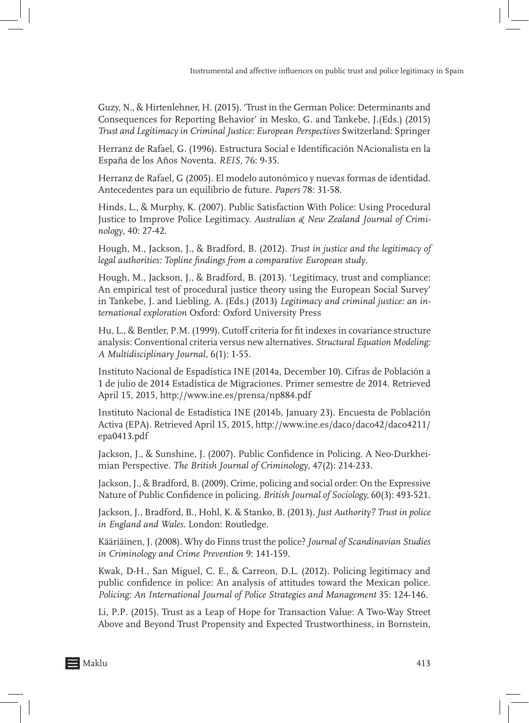Guzy, N., & Hirtenlehner, H. (2015). 'Trust in the German Police: Determinants and Consequences for Reporting Behavior' in Mesko, G. and Tankebe, J.(Eds.) (2015) *Trust and Legitimacy in Criminal Justice: European Perspectives* Switzerland: Springer

Herranz de Rafael, G. (1996). Estructura Social e Identificación NAcionalista en la España de los Años Noventa. *REIS,* 76: 9-35.

Herranz de Rafael, G (2005). El modelo autonómico y nuevas formas de identidad. Antecedentes para un equilibrio de future. *Papers* 78: 31-58.

Hinds, L., & Murphy, K. (2007). Public Satisfaction With Police: Using Procedural Justice to Improve Police Legitimacy. *Australian & New Zealand Journal of Criminology*, 40: 27-42.

Hough, M., Jackson, J., & Bradford, B. (2012). *Trust in justice and the legitimacy of legal authorities: Topline findings from a comparative European study*.

Hough, M., Jackson, J., & Bradford, B. (2013). 'Legitimacy, trust and compliance: An empirical test of procedural justice theory using the European Social Survey' in Tankebe, J. and Liebling, A. (Eds.) (2013) *Legitimacy and criminal justice: an international exploration* Oxford: Oxford University Press

Hu, L., & Bentler, P.M. (1999). Cutoff criteria for fit indexes in covariance structure analysis: Conventional criteria versus new alternatives. *Structural Equation Modeling: A Multidisciplinary Journal*, 6(1): 1-55.

Instituto Nacional de Espadística INE (2014a, December 10). Cifras de Población a 1 de julio de 2014 Estadística de Migraciones. Primer semestre de 2014. Retrieved April 15, 2015, http://www.ine.es/prensa/np884.pdf

Instituto Nacional de Estadística INE (2014b, January 23). Encuesta de Población Activa (EPA). Retrieved April 15, 2015, http://www.ine.es/daco/daco42/daco4211/ epa0413.pdf

Jackson, J., & Sunshine, J. (2007). Public Confidence in Policing. A Neo-Durkheimian Perspective. *The British Journal of Criminology*, 47(2): 214-233.

Jackson, J., & Bradford, B. (2009). Crime, policing and social order: On the Expressive Nature of Public Confidence in policing. *British Journal of Sociology,* 60(3): 493-521.

Jackson, J., Bradford, B., Hohl, K. & Stanko, B. (2013). *Just Authority? Trust in police in England and Wales*. London: Routledge.

Kääriäinen, J. (2008). Why do Finns trust the police? *Journal of Scandinavian Studies in Criminology and Crime Prevention* 9: 141-159.

Kwak, D-H., San Miguel, C. E., & Carreon, D.L. (2012). Policing legitimacy and public confidence in police: An analysis of attitudes toward the Mexican police. *Policing: An International Journal of Police Strategies and Management* 35: 124-146.

Li, P.P. (2015). Trust as a Leap of Hope for Transaction Value: A Two-Way Street Above and Beyond Trust Propensity and Expected Trustworthiness, in Bornstein,

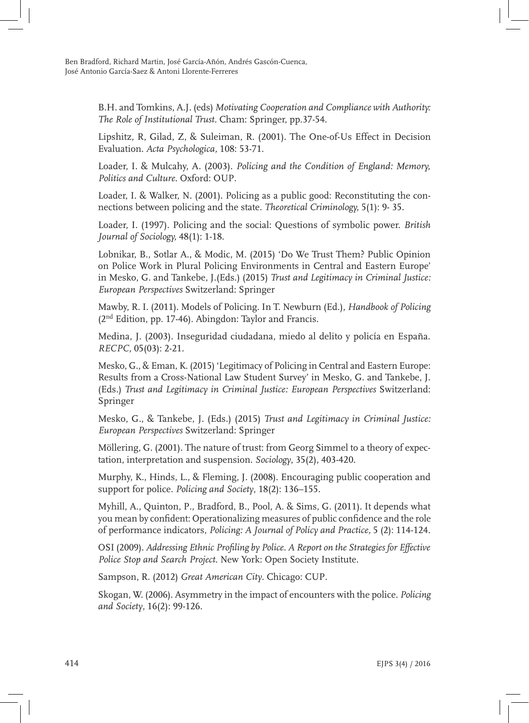B.H. and Tomkins, A.J. (eds) *Motivating Cooperation and Compliance with Authority: The Role of Institutional Trust*. Cham: Springer, pp.37-54.

Lipshitz, R, Gilad, Z, & Suleiman, R. (2001). The One-of-Us Effect in Decision Evaluation. *Acta Psychologica,* 108: 53-71.

Loader, I. & Mulcahy, A. (2003). *Policing and the Condition of England: Memory, Politics and Culture*. Oxford: OUP.

Loader, I. & Walker, N. (2001). Policing as a public good: Reconstituting the connections between policing and the state. *Theoretical Criminology,* 5(1): 9- 35.

Loader, I. (1997). Policing and the social: Questions of symbolic power. *British Journal of Sociology,* 48(1): 1-18.

Lobnikar, B., Sotlar A., & Modic, M. (2015) 'Do We Trust Them? Public Opinion on Police Work in Plural Policing Environments in Central and Eastern Europe' in Mesko, G. and Tankebe, J.(Eds.) (2015) *Trust and Legitimacy in Criminal Justice: European Perspectives* Switzerland: Springer

Mawby, R. I. (2011). Models of Policing. In T. Newburn (Ed.), *Handbook of Policing*  $(2<sup>nd</sup> Edition, pp. 17-46)$ . Abingdon: Taylor and Francis.

Medina, J. (2003). Inseguridad ciudadana, miedo al delito y policía en España. *RECPC,* 05(03): 2-21.

Mesko, G., & Eman, K. (2015) 'Legitimacy of Policing in Central and Eastern Europe: Results from a Cross-National Law Student Survey' in Mesko, G. and Tankebe, J. (Eds.) *Trust and Legitimacy in Criminal Justice: European Perspectives* Switzerland: Springer

Mesko, G., & Tankebe, J. (Eds.) (2015) *Trust and Legitimacy in Criminal Justice: European Perspectives* Switzerland: Springer

Möllering, G. (2001). The nature of trust: from Georg Simmel to a theory of expectation, interpretation and suspension. *Sociology*, 35(2), 403-420.

Murphy, K., Hinds, L., & Fleming, J. (2008). Encouraging public cooperation and support for police. *Policing and Society*, 18(2): 136–155.

Myhill, A., Quinton, P., Bradford, B., Pool, A. & Sims, G. (2011). It depends what you mean by confident: Operationalizing measures of public confidence and the role of performance indicators, *Policing: A Journal of Policy and Practice,* 5 (2): 114-124.

OSI (2009). *Addressing Ethnic Profiling by Police. A Report on the Strategies for Effective Police Stop and Search Project*. New York: Open Society Institute.

Sampson, R. (2012) *Great American City*. Chicago: CUP.

Skogan, W. (2006). Asymmetry in the impact of encounters with the police. *Policing and Society*, 16(2): 99-126.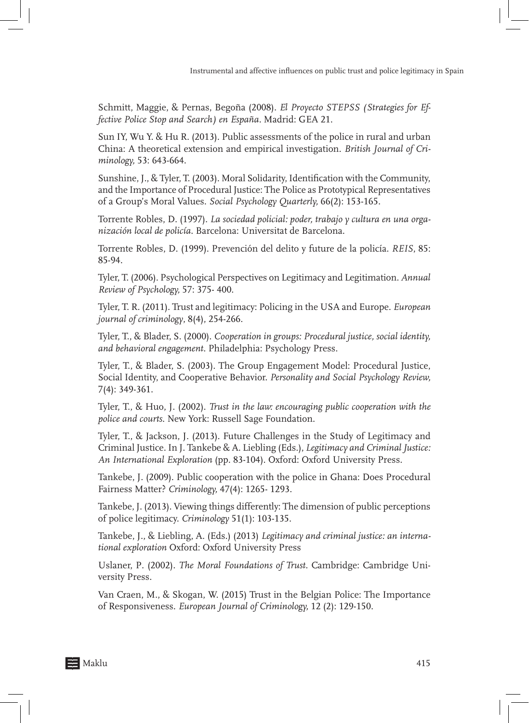Schmitt, Maggie, & Pernas, Begoña (2008). *El Proyecto STEPSS (Strategies for Effective Police Stop and Search) en España.* Madrid: GEA 21.

Sun IY, Wu Y. & Hu R. (2013). Public assessments of the police in rural and urban China: A theoretical extension and empirical investigation. *British Journal of Criminology,* 53: 643-664.

Sunshine, J., & Tyler, T. (2003). Moral Solidarity, Identification with the Community, and the Importance of Procedural Justice: The Police as Prototypical Representatives of a Group's Moral Values. *Social Psychology Quarterly,* 66(2): 153-165.

Torrente Robles, D. (1997). *La sociedad policial: poder, trabajo y cultura en una organización local de policía.* Barcelona: Universitat de Barcelona.

Torrente Robles, D. (1999). Prevención del delito y future de la policía. *REIS*, 85: 85-94.

Tyler, T. (2006). Psychological Perspectives on Legitimacy and Legitimation. *Annual Review of Psychology,* 57: 375- 400.

Tyler, T. R. (2011). Trust and legitimacy: Policing in the USA and Europe. *European journal of criminology*, 8(4), 254-266.

Tyler, T., & Blader, S. (2000). *Cooperation in groups: Procedural justice, social identity, and behavioral engagement*. Philadelphia: Psychology Press.

Tyler, T., & Blader, S. (2003). The Group Engagement Model: Procedural Justice, Social Identity, and Cooperative Behavior. *Personality and Social Psychology Review,*  7(4): 349-361.

Tyler, T., & Huo, J. (2002). *Trust in the law: encouraging public cooperation with the police and courts*. New York: Russell Sage Foundation.

Tyler, T., & Jackson, J. (2013). Future Challenges in the Study of Legitimacy and Criminal Justice. In J. Tankebe & A. Liebling (Eds.), *Legitimacy and Criminal Justice: An International Exploration* (pp. 83-104). Oxford: Oxford University Press.

Tankebe, J. (2009). Public cooperation with the police in Ghana: Does Procedural Fairness Matter? *Criminology,* 47(4): 1265- 1293.

Tankebe, J. (2013). Viewing things differently: The dimension of public perceptions of police legitimacy. *Criminology* 51(1): 103-135.

Tankebe, J., & Liebling, A. (Eds.) (2013) *Legitimacy and criminal justice: an international exploration* Oxford: Oxford University Press

Uslaner, P. (2002). *The Moral Foundations of Trust*. Cambridge: Cambridge University Press.

Van Craen, M., & Skogan, W. (2015) Trust in the Belgian Police: The Importance of Responsiveness. *European Journal of Criminology,* 12 (2): 129-150.